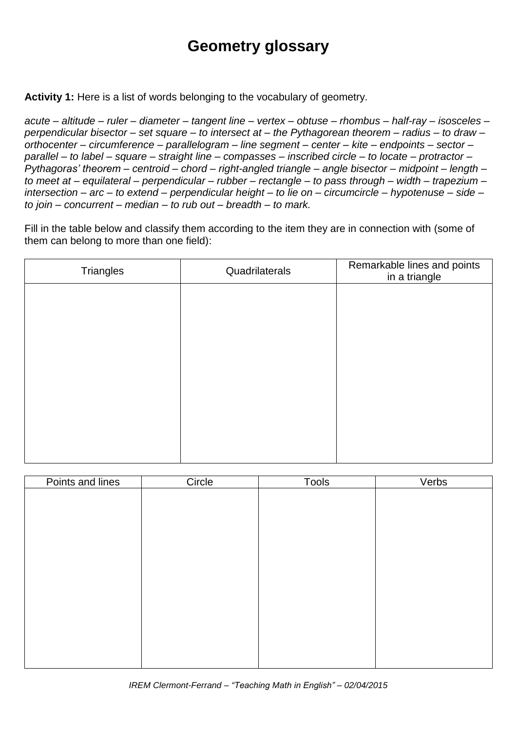## **Geometry glossary**

**Activity 1:** Here is a list of words belonging to the vocabulary of geometry.

acute – altitude – ruler – diameter – tangent line – vertex – obtuse – rhombus – half-ray – isosceles – *perpendicular bisector – set square – to intersect at – the Pythagorean theorem – radius – to draw – orthocenter – circumference – parallelogram – line segment – center – kite – endpoints – sector – parallel – to label – square – straight line – compasses – inscribed circle – to locate – protractor – Pythagoras' theorem – centroid – chord – right-angled triangle – angle bisector – midpoint – length – to meet at – equilateral – perpendicular – rubber – rectangle – to pass through – width – trapezium – intersection – arc – to extend – perpendicular height – to lie on – circumcircle – hypotenuse – side – to join – concurrent – median – to rub out – breadth – to mark.*

Fill in the table below and classify them according to the item they are in connection with (some of them can belong to more than one field):

| Triangles | Quadrilaterals | Remarkable lines and points<br>in a triangle |
|-----------|----------------|----------------------------------------------|
|           |                |                                              |
|           |                |                                              |
|           |                |                                              |
|           |                |                                              |
|           |                |                                              |
|           |                |                                              |
|           |                |                                              |
|           |                |                                              |

| Points and lines | Circle | Tools | Verbs |
|------------------|--------|-------|-------|
|                  |        |       |       |
|                  |        |       |       |
|                  |        |       |       |
|                  |        |       |       |
|                  |        |       |       |
|                  |        |       |       |
|                  |        |       |       |
|                  |        |       |       |
|                  |        |       |       |
|                  |        |       |       |
|                  |        |       |       |
|                  |        |       |       |
|                  |        |       |       |